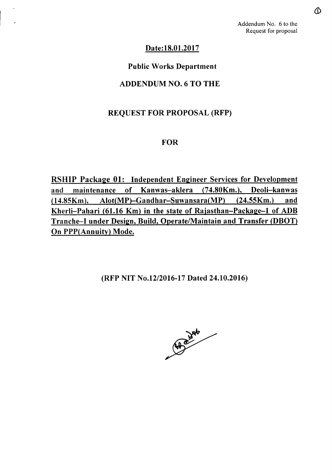# Date: 18.01.2017

### Public Works Department

### ADDENDUM NO.6 TO THE

# REQUEST FOR PROPOSAL (RFP)

### FOR

RSHIP Package 01: Independent Engineer Services for Development and maintenance of Kanwas-aklera (74.80Km.), Deoli-kanwas  $(14.85Km)$ , Alot $(MP)$ -Gandhar-Suwansara $(MP)$   $(24.55Km)$  and Kherli-Pahari (61.16 Km) in the state of Rajasthan-Package-l of ADB Tranche-I under Design, Build, Operate/Maintain and Transfer (DBOT) On PPP(Annuity) Mode.

(RFP NIT *No.12/2016-17* Dated 24.10.2016)

**Road Jack**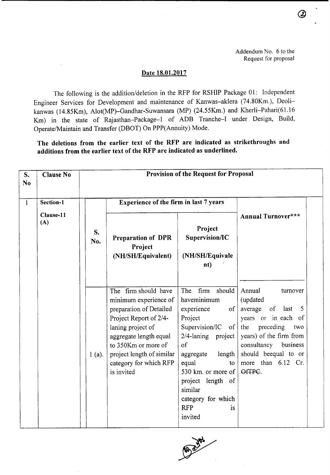(2)

### Date 18.01.2017

The following is the addition/deletion in the RFP for RSHIP Package 01: Independent Engineer Services for Development and maintenance of Kanwas-aklera (74.80Km.), Deolikanwas (14.85Km), Alot(MP)-Gandhar-Suwansara (MP) (24.55Km.) and Kherli-Pahari(61.16 Km) in the state of Rajasthan-Package-l of ADB Tranche-I under Design, Build, Operate/Maintain and Transfer (DBOT) On PPP(Annuity) Mode.

The deletions from the earlier text of the RFP are indicated as strikethroughs and additions from the earlier text of the RFP are indicated as underlined.

| S.<br>N <sub>0</sub> | <b>Clause No</b> |           |                                                                                                                                                                                                                                               | <b>Provision of the Request for Proposal</b>                                                                                                                                                                                                                                                    |                                                                                                                                                                                                                              |
|----------------------|------------------|-----------|-----------------------------------------------------------------------------------------------------------------------------------------------------------------------------------------------------------------------------------------------|-------------------------------------------------------------------------------------------------------------------------------------------------------------------------------------------------------------------------------------------------------------------------------------------------|------------------------------------------------------------------------------------------------------------------------------------------------------------------------------------------------------------------------------|
| $\mathbf{1}$         | Section-1        |           | <b>Experience of the firm in last 7 years</b>                                                                                                                                                                                                 |                                                                                                                                                                                                                                                                                                 |                                                                                                                                                                                                                              |
|                      | Clause-11<br>(A) | S.<br>No. | <b>Preparation of DPR</b><br>Project<br>(NH/SH/Equivalent)                                                                                                                                                                                    | Project<br>Supervision/IC<br>(NH/SH/Equivale<br>nt)                                                                                                                                                                                                                                             | <b>Annual Turnover***</b>                                                                                                                                                                                                    |
|                      |                  | $1(a)$ .  | The firm should have<br>minimum experience of<br>preparation of Detailed<br>Project Report of 2/4-<br>laning project of<br>aggregate length equal<br>to 350Km or more of<br>project length of similar<br>category for which RFP<br>is invited | firm<br>should<br>The<br>haveminimum<br>experience<br>of<br>Project<br>Supervision/IC<br>$\circ$ of $\circ$<br>2/4-laning project<br>of<br>length<br>aggregate<br>equal<br>to<br>530 km. or more of<br>project length of<br>similar<br>category for which<br><b>RFP</b><br><i>is</i><br>invited | Annual<br>turnover<br>(updated<br>average<br>of<br>last<br>5<br>years or in each of<br>preceding<br>the<br>two<br>years) of the firm from<br>consultancy<br>business<br>should beequal to or<br>more than 6.12 Cr.<br>OfTPC. |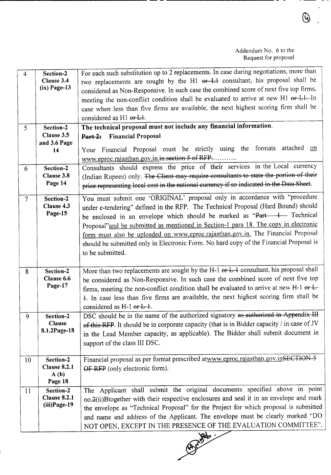| $\overline{4}$ | Section-2<br>Clause 3.4          | For each such substitution up to 2 replacements. In case during negotiations, more than<br>two replacements are sought by the H1 or-L1 consultant, his proposal shall be |
|----------------|----------------------------------|--------------------------------------------------------------------------------------------------------------------------------------------------------------------------|
|                | $(ix)$ Page-13                   | considered as Non-Responsive. In such case the combined score of next five top firms,                                                                                    |
|                |                                  | meeting the non-conflict condition shall be evaluated to arrive at new H1 or L1. In                                                                                      |
|                |                                  | case when less than five firms are available, the next highest scoring firm shall be                                                                                     |
|                |                                  | considered as H1 or L+.                                                                                                                                                  |
| 5              | Section-2                        | The technical proposal must not include any financial information.                                                                                                       |
|                | Clause 3.5                       | Part-2: Financial Proposal                                                                                                                                               |
|                | and 3.6 Page                     | attached on<br>Your Financial Proposal must be strictly using the formats                                                                                                |
|                | 14                               | www.eproc.rajasthan.gov.in.in section 5 of RFP                                                                                                                           |
| 6              | Section-2                        | Consultants should express the price of their services in the Local currency                                                                                             |
|                | Clause 3.8                       | (Indian Rupees) only. The Client may require consultants to state the portion of their                                                                                   |
|                | Page 14                          | price representing local cost in the national currency if so indicated in the Data Sheet.                                                                                |
| $\overline{7}$ | Section-2                        | You must submit one 'ORIGINAL' proposal only in accordance with "procedure                                                                                               |
|                | Clause 4.3                       | under e-tendering" defined in the RFP. The Technical Proposal (Hard Bound) should                                                                                        |
|                | Page-15                          | be enclosed in an envelope which should be marked as "Part 1 Technical                                                                                                   |
|                |                                  | Proposal" and be submitted as mentioned in Section-1 para 18. The copy in electronic                                                                                     |
|                |                                  | form must also be uploaded on www.eproc.rajasthan.gov.in. The Financial Proposal                                                                                         |
|                |                                  | should be submitted only in Electronic Form. No hard copy of the Financial Proposal is                                                                                   |
|                |                                  | to be submitted.                                                                                                                                                         |
| 8              | Section-2                        | More than two replacements are sought by the H-1 or L-1 consultant, his proposal shall                                                                                   |
|                | Clause 6.6                       | be considered as Non-Responsive. In such case the combined score of next five top                                                                                        |
|                | Page-17                          | firms, meeting the non-conflict condition shall be evaluated to arrive at new H-1 or $L$ -                                                                               |
|                |                                  | 4. In case less than five firms are available, the next highest scoring firm shall be                                                                                    |
|                |                                  | considered as $H-1$ or $L-1$ .                                                                                                                                           |
| 9              | Section-2                        | DSC should be in the name of the authorized signatory as authorized in Appendix III                                                                                      |
|                | <b>Clause</b>                    | of this RFP. It should be in corporate capacity (that is in Bidder capacity / in case of JV                                                                              |
|                | 8.1.2Page-18                     | in the Lead Member capacity, as applicable). The Bidder shall submit document in                                                                                         |
|                |                                  | support of the class III DSC.                                                                                                                                            |
|                |                                  |                                                                                                                                                                          |
| 10             | Section-2<br><b>Clause 8.2.1</b> | Financial proposal as per format prescribed atwww.eproc.rajasthan.gov.inSECTION-5                                                                                        |
|                | A(b)                             | OF RFP (only electronic form).                                                                                                                                           |
|                | Page 18                          |                                                                                                                                                                          |
| 11             | Section-2                        | The Applicant shall submit the original documents specified above in point                                                                                               |
|                | <b>Clause 8.2.1</b>              | no.2(ii)Btogether with their respective enclosures and seal it in an envelope and mark                                                                                   |
|                | $(iii) Page-19$                  | the envelope as "Technical Proposal" for the Project for which proposal is submitted                                                                                     |
|                |                                  | and name and address of the Applicant. The envelope must be clearly marked "DO                                                                                           |
|                |                                  | NOT OPEN, EXCEPT IN THE PRESENCE OF THE EVALUATION COMMITTEE".                                                                                                           |

~

 $\overline{a}$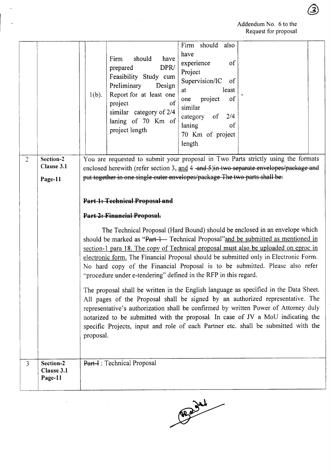$\circledS$ 

|                |                                    | Firm should also<br>have<br>should<br>Firm<br>have<br>experience<br><sub>of</sub><br>DPR/<br>prepared<br>Project<br>Feasibility Study cum<br>Supervision/IC<br>of<br>Preliminary<br>Design<br>least<br>at<br>Report for at least one<br>$1(b)$ .<br>of<br>project<br>one<br>project<br>of<br>similar<br>similar category of 2/4<br>of<br>2/4<br>category<br>laning of 70 Km of<br>laning<br>of<br>project length<br>70 Km of project<br>length                                                                                                                                                                                                                                                                                                                                                                                                                                                                                                                                                                  |           |  |
|----------------|------------------------------------|-----------------------------------------------------------------------------------------------------------------------------------------------------------------------------------------------------------------------------------------------------------------------------------------------------------------------------------------------------------------------------------------------------------------------------------------------------------------------------------------------------------------------------------------------------------------------------------------------------------------------------------------------------------------------------------------------------------------------------------------------------------------------------------------------------------------------------------------------------------------------------------------------------------------------------------------------------------------------------------------------------------------|-----------|--|
| $\overline{2}$ | Section-2<br>Clause 3.1<br>Page-11 | You are requested to submit your proposal in Two Parts strictly using the formats<br>enclosed herewith (refer section 3, and 4 -and-5) in two separate envelopes/package and<br>put together in one single outer envelopes/package The two parts shall be:                                                                                                                                                                                                                                                                                                                                                                                                                                                                                                                                                                                                                                                                                                                                                      |           |  |
|                |                                    | Part 1: Technical Proposal and<br>Part 2: Financial Proposal.<br>The Technical Proposal (Hard Bound) should be enclosed in an envelope which<br>should be marked as "Part-1— Technical Proposal" and be submitted as mentioned in<br>section-1 para 18. The copy of Technical proposal must also be uploaded on eproc in<br>electronic form. The Financial Proposal should be submitted only in Electronic Form.<br>No hard copy of the Financial Proposal is to be submitted. Please also refer<br>"procedure under e-tendering" defined in the RFP in this regard.<br>The proposal shall be written in the English language as specified in the Data Sheet.<br>All pages of the Proposal shall be signed by an authorized representative. The<br>representative's authorization shall be confirmed by written Power of Attorney duly<br>notarized to be submitted with the proposal. In case of JV a MoU indicating the<br>specific Projects, input and role of each Partner etc. shall be submitted with the | proposal. |  |
| $\overline{3}$ | Section-2<br>Clause 3.1<br>Page-11 | Part-I : Technical Proposal                                                                                                                                                                                                                                                                                                                                                                                                                                                                                                                                                                                                                                                                                                                                                                                                                                                                                                                                                                                     |           |  |

 $\ddot{\phantom{0}}$ 

Reading

 $\label{eq:2.1} \frac{1}{\sqrt{2}}\sum_{i=1}^n\frac{1}{\sqrt{2}}\left(\frac{1}{\sqrt{2}}\sum_{i=1}^n\frac{1}{\sqrt{2}}\right)^2\left(\frac{1}{\sqrt{2}}\sum_{i=1}^n\frac{1}{\sqrt{2}}\right)^2.$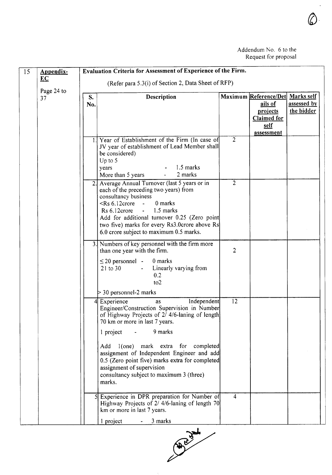| 15 | Appendix-<br>EC  |           | Evaluation Criteria for Assessment of Experience of the Firm.                                                                                                                                                                                                                                                                                                                                                                                                                                                                                       |                |                                                                                                     |                           |
|----|------------------|-----------|-----------------------------------------------------------------------------------------------------------------------------------------------------------------------------------------------------------------------------------------------------------------------------------------------------------------------------------------------------------------------------------------------------------------------------------------------------------------------------------------------------------------------------------------------------|----------------|-----------------------------------------------------------------------------------------------------|---------------------------|
|    |                  |           | (Refer para 5.3(i) of Section 2, Data Sheet of RFP)                                                                                                                                                                                                                                                                                                                                                                                                                                                                                                 |                |                                                                                                     |                           |
|    | Page 24 to<br>37 | S.<br>No. | Description                                                                                                                                                                                                                                                                                                                                                                                                                                                                                                                                         |                | Maximum Reference/Det Marks self<br>ails of<br>projects<br><b>Claimed for</b><br>self<br>assessment | assessed by<br>the bidder |
|    |                  |           | 1. Year of Establishment of the Firm (In case of<br>JV year of establishment of Lead Member shall<br>be considered)<br>Up to 5<br>1.5 marks<br>years<br>2 marks<br>More than 5 years                                                                                                                                                                                                                                                                                                                                                                | $\overline{2}$ |                                                                                                     |                           |
|    |                  |           | Average Annual Turnover (last 5 years or in<br>each of the preceding two years) from<br>consultancy business<br>0 marks<br>$\le$ Rs 6.12 crore -<br>$Rs 6.12$ crore $-1.5$ marks<br>Add for additional turnover 0.25 (Zero point<br>two five) marks for every Rs3.0crore above Rs<br>6.0 crore subject to maximum 0.5 marks.                                                                                                                                                                                                                        | 2              |                                                                                                     |                           |
|    |                  |           | 3. Numbers of key personnel with the firm more<br>than one year with the firm.<br>$\leq$ 20 personnel -<br>0 marks<br>21 to 30<br>Linearly varying from<br>$\sim$<br>0.2<br>to2<br>$>$ 30 personnel-2 marks                                                                                                                                                                                                                                                                                                                                         | $\overline{2}$ |                                                                                                     |                           |
|    |                  | 41        | Independent<br>Experience<br>as<br>Engineer/Construction Supervision in Number<br>of Highway Projects of 2/4/6-laning of length<br>70 km or more in last 7 years.<br>9 marks<br>1 project<br>$\sim 100$ km s $^{-1}$<br>1(one) mark extra for completed<br>Add<br>assignment of Independent Engineer and add<br>0.5 (Zero point five) marks extra for completed<br>assignment of supervision<br>consultancy subject to maximum 3 (three)<br>marks.<br>Experience in DPR preparation for Number of<br>Highway Projects of 2/ 4/6-laning of length 70 | 12<br>4        |                                                                                                     |                           |
|    |                  |           | km or more in last 7 years.<br>l project<br>$-3$ marks                                                                                                                                                                                                                                                                                                                                                                                                                                                                                              |                |                                                                                                     |                           |

1 project 3 marks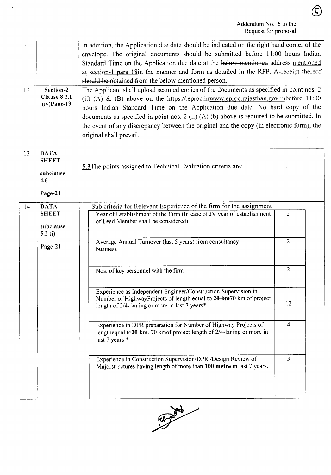$\bigcirc$ 

| 12 | Section-2<br>Clause 8.2.1<br>$(iv) Page-19$                      | In addition, the Application due date should be indicated on the right hand corner of the<br>envelope. The original documents should be submitted before 11:00 hours Indian<br>Standard Time on the Application due date at the below mentioned address mentioned<br>at section-1 para 18in the manner and form as detailed in the RFP. A receipt thereof<br>should be obtained from the below mentioned person.<br>The Applicant shall upload scanned copies of the documents as specified in point nos. 2<br>(ii) (A) & (B) above on the $h$ ttps://.eproe.inwww.eproc.rajasthan.gov.inbefore 11:00<br>hours Indian Standard Time on the Application due date. No hard copy of the<br>documents as specified in point nos. $2$ (ii) (A) (b) above is required to be submitted. In<br>the event of any discrepancy between the original and the copy (in electronic form), the<br>original shall prevail. |                                        |
|----|------------------------------------------------------------------|------------------------------------------------------------------------------------------------------------------------------------------------------------------------------------------------------------------------------------------------------------------------------------------------------------------------------------------------------------------------------------------------------------------------------------------------------------------------------------------------------------------------------------------------------------------------------------------------------------------------------------------------------------------------------------------------------------------------------------------------------------------------------------------------------------------------------------------------------------------------------------------------------------|----------------------------------------|
| 13 | <b>DATA</b><br><b>SHEET</b><br>subclause<br>4.6<br>Page-21       | .<br>5.3 The points assigned to Technical Evaluation criteria are:                                                                                                                                                                                                                                                                                                                                                                                                                                                                                                                                                                                                                                                                                                                                                                                                                                         |                                        |
| 14 | <b>DATA</b><br><b>SHEET</b><br>subclause<br>5.3 $(i)$<br>Page-21 | Sub criteria for Relevant Experience of the firm for the assignment<br>Year of Establishment of the Firm (In case of JV year of establishment<br>of Lead Member shall be considered)<br>Average Annual Turnover (last 5 years) from consultancy<br>business                                                                                                                                                                                                                                                                                                                                                                                                                                                                                                                                                                                                                                                | $\overline{c}$<br>$\overline{2}$       |
|    |                                                                  | Nos. of key personnel with the firm<br>Experience as Independent Engineer/Construction Supervision in<br>Number of HighwayProjects of length equal to 20 km 70 km of project<br>length of 2/4- laning or more in last 7 years*<br>Experience in DPR preparation for Number of Highway Projects of<br>lengthequal to $20 \text{ km}$ . 70 km of project length of $2/4$ -laning or more in<br>last 7 years *                                                                                                                                                                                                                                                                                                                                                                                                                                                                                                | $\overline{2}$<br>12<br>$\overline{4}$ |
|    |                                                                  | Experience in Construction Supervision/DPR /Design Review of<br>Majorstructures having length of more than 100 metre in last 7 years.                                                                                                                                                                                                                                                                                                                                                                                                                                                                                                                                                                                                                                                                                                                                                                      | 3                                      |

 $\mathbb{Z}^2$ 

 $\overline{a}$ 

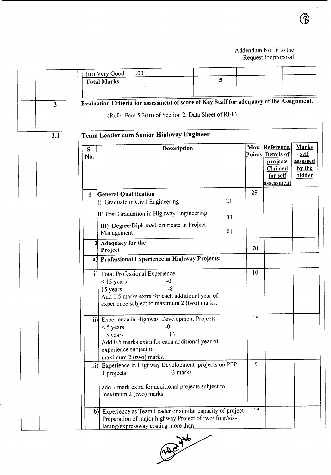|                         | 1.00<br>(iii) Very Good                                                                                                                                                                         |                 |                                                                                                      |                                                             |
|-------------------------|-------------------------------------------------------------------------------------------------------------------------------------------------------------------------------------------------|-----------------|------------------------------------------------------------------------------------------------------|-------------------------------------------------------------|
|                         | 5<br><b>Total Marks</b>                                                                                                                                                                         |                 |                                                                                                      |                                                             |
| $\overline{\mathbf{3}}$ | Evaluation Criteria for assessment of score of Key Staff for adequacy of the Assignment.<br>(Refer Para 5.3(iii) of Section 2, Data Sheet of RFP)                                               |                 |                                                                                                      |                                                             |
| 3.1                     | Team Leader cum Senior Highway Engineer                                                                                                                                                         |                 |                                                                                                      |                                                             |
|                         | Description<br>S.<br>No.                                                                                                                                                                        |                 | Max. Reference/<br>Points Details of<br>projects<br><b>Claimed</b><br>for self<br>ass <u>essment</u> | <b>Marks</b><br>self<br><b>assessed</b><br>by the<br>bidder |
|                         | <b>General Qualification</b><br>$\mathbf{1}$<br>21<br>1) Graduate in Civil Engineering<br>II) Post Graduation in Highway Engineering                                                            | 25              |                                                                                                      |                                                             |
|                         | 03<br>III) Degree/Diploma/Certificate in Project<br>01<br>Management                                                                                                                            |                 |                                                                                                      |                                                             |
|                         | 2 Adequacy for the<br>Project                                                                                                                                                                   | 70              |                                                                                                      |                                                             |
|                         | a) Professional Experience in Highway Projects:                                                                                                                                                 |                 |                                                                                                      |                                                             |
|                         | <b>Total Professional Experience</b><br>i)<br>$<$ 15 years<br>-0<br>-8<br>15 years<br>Add 0.5 marks extra for each additional year of<br>experience subject to maximum 2 (two) marks.           | 10              |                                                                                                      |                                                             |
|                         | ii) Experience in Highway Development Projects<br>$-0$<br>$<$ 5 years<br>$-13$<br>5 years<br>Add 0.5 marks extra for each additional year of<br>experience subject to<br>maximum 2 (two) marks. | 15              |                                                                                                      |                                                             |
|                         | iii) Experience in Highway Development projects on PPP<br>-3 marks<br>1 projects<br>add 1 mark extra for additional projects subject to<br>maximum 2 (two) marks                                | 5               |                                                                                                      |                                                             |
|                         | b) Experience as Team Leader or similar capacity of project<br>Preparation of major highway Project of two/ four/six-<br>laning/expressway costing more than                                    | $\overline{15}$ |                                                                                                      |                                                             |



 $\ddot{\phantom{a}}$ 

 $\overline{\phantom{a}}$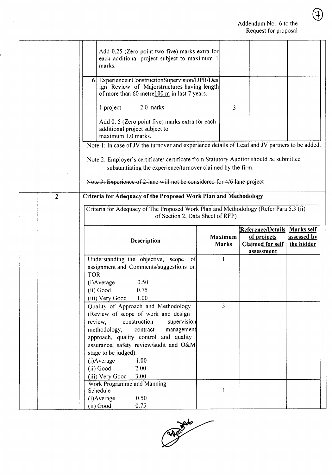$\sim$ 

|                |            | Add 0.25 (Zero point two five) marks extra for<br>each additional project subject to maximum 1<br>marks.                                              |                                |                                        |                           |
|----------------|------------|-------------------------------------------------------------------------------------------------------------------------------------------------------|--------------------------------|----------------------------------------|---------------------------|
|                |            | 6. ExperienceinConstructionSupervision/DPR/Des<br>ign Review of Majorstructures having length<br>of more than $60$ metre $100$ m in last 7 years.     |                                |                                        |                           |
|                |            | $-2.0$ marks<br>1 project                                                                                                                             | 3                              |                                        |                           |
|                |            | Add 0.5 (Zero point five) marks extra for each<br>additional project subject to<br>maximum 1.0 marks.                                                 |                                |                                        |                           |
|                |            | Note 1: In case of JV the turnover and experience details of Lead and JV partners to be added.                                                        |                                |                                        |                           |
|                |            |                                                                                                                                                       |                                |                                        |                           |
|                |            | Note 2: Employer's certificate/ certificate from Statutory Auditor should be submitted<br>substantiating the experience/turnover claimed by the firm. |                                |                                        |                           |
|                |            |                                                                                                                                                       |                                |                                        |                           |
|                |            | Note 3: Experience of 2-lane will not be considered for 4/6 lane project                                                                              |                                |                                        |                           |
| $\overline{2}$ |            | Criteria for Adequacy of the Proposed Work Plan and Methodology                                                                                       |                                |                                        |                           |
|                |            | Criteria for Adequacy of The Proposed Work Plan and Methodology (Refer Para 5.3 (ii)                                                                  |                                |                                        |                           |
|                |            | of Section 2, Data Sheet of RFP)                                                                                                                      |                                |                                        |                           |
|                |            |                                                                                                                                                       |                                | Reference/Details                      | Marks self                |
|                |            |                                                                                                                                                       |                                |                                        |                           |
|                |            | Description                                                                                                                                           | <b>Maximum</b><br><b>Marks</b> | of projects<br><b>Claimed for self</b> | assessed by<br>the bidder |
|                |            |                                                                                                                                                       |                                | <u>assessment</u>                      |                           |
|                |            | Understanding the objective, scope<br>of                                                                                                              |                                |                                        |                           |
|                | <b>TOR</b> | assignment and Comments/suggestions on                                                                                                                |                                |                                        |                           |
|                |            | 0.50<br>$(i)$ Average                                                                                                                                 |                                |                                        |                           |
|                |            | (ii) Good<br>0.75                                                                                                                                     |                                |                                        |                           |
|                |            | (iii) Very Good<br>1.00<br>Quality of Approach and Methodology                                                                                        | $\overline{3}$                 |                                        |                           |
|                |            | (Review of scope of work and design                                                                                                                   |                                |                                        |                           |
|                |            | review,<br>construction<br>supervision                                                                                                                |                                |                                        |                           |
|                |            | methodology,<br>contract<br>management<br>approach, quality control and quality                                                                       |                                |                                        |                           |
|                |            | assurance, safety review/audit and O&M                                                                                                                |                                |                                        |                           |
|                |            | stage to be judged).                                                                                                                                  |                                |                                        |                           |
|                |            | $(i)$ Average<br>1.00<br>2.00                                                                                                                         |                                |                                        |                           |
|                |            | (ii) Good<br>3.00<br>(iii) Very Good                                                                                                                  |                                |                                        |                           |
|                |            | Work Programme and Manning                                                                                                                            |                                |                                        |                           |
|                |            | Schedule<br>(i) Average<br>0.50                                                                                                                       |                                |                                        |                           |

 $\mathbb{R}^2$ 

l.

 $\mathcal{A}^{\mathcal{A}}$ 



 $\bigoplus$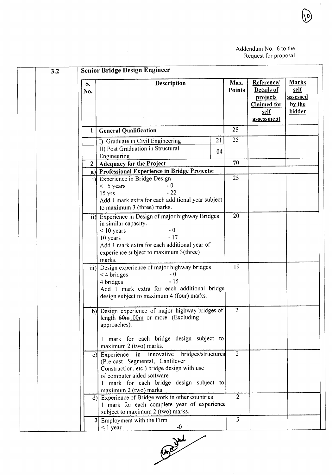$\ddot{\phantom{a}}$ 

o,

| 3.2       |              | <b>Senior Bridge Design Engineer</b>                                                                                                                                                                                              |          |                       |                                                                                  |                                                             |
|-----------|--------------|-----------------------------------------------------------------------------------------------------------------------------------------------------------------------------------------------------------------------------------|----------|-----------------------|----------------------------------------------------------------------------------|-------------------------------------------------------------|
| S.<br>No. |              | <b>Description</b>                                                                                                                                                                                                                |          | Max.<br><b>Points</b> | Reference/<br>Details of<br>projects<br><b>Claimed</b> for<br>self<br>assessment | <b>Marks</b><br><u>self</u><br>assessed<br>by the<br>bidder |
|           | 1            | <b>General Qualification</b>                                                                                                                                                                                                      |          | 25                    |                                                                                  |                                                             |
|           |              | I) Graduate in Civil Engineering<br><b>II</b> ) Post Graduation in Structural<br>Engineering                                                                                                                                      | 21<br>04 | 25                    |                                                                                  |                                                             |
|           | $\mathbf{2}$ | <b>Adequacy for the Project</b>                                                                                                                                                                                                   |          | 70                    |                                                                                  |                                                             |
|           |              | a) Professional Experience in Bridge Projects:                                                                                                                                                                                    |          |                       |                                                                                  |                                                             |
|           |              | i) Experience in Bridge Design<br>$-0$<br>$<$ 15 years<br>$-22$<br>15 yrs<br>Add 1 mark extra for each additional year subject<br>to maximum 3 (three) marks.                                                                     |          | 25                    |                                                                                  |                                                             |
|           |              | ii) Experience in Design of major highway Bridges<br>in similar capacity.<br>$-0$<br>$<$ 10 years<br>$-17$<br>10 years<br>Add 1 mark extra for each additional year of<br>experience subject to maximum 3(three)<br>marks.        |          | 20                    |                                                                                  |                                                             |
|           |              | iii) Design experience of major highway bridges<br>$-0$<br>$<$ 4 bridges<br>$-15$<br>4 bridges<br>Add 1 mark extra for each additional bridge<br>design subject to maximum 4 (four) marks.                                        |          | 19                    |                                                                                  |                                                             |
|           |              | b) Design experience of major highway bridges of<br>length 60m100m or more. (Excluding<br>approaches).                                                                                                                            |          | $\overline{2}$        |                                                                                  |                                                             |
|           |              | 1 mark for each bridge design subject to<br>maximum 2 (two) marks.                                                                                                                                                                |          |                       |                                                                                  |                                                             |
|           |              | c) Experience in innovative bridges/structures<br>(Pre-cast Segmental, Cantilever<br>Construction, etc.) bridge design with use<br>of computer aided software<br>mark for each bridge design subject to<br>maximum 2 (two) marks. |          | $\overline{2}$        |                                                                                  |                                                             |
|           |              | d) Experience of Bridge work in other countries<br>1 mark for each complete year of experience<br>subject to maximum 2 (two) marks.                                                                                               |          | $\overline{2}$        |                                                                                  |                                                             |
|           |              | 3 Employment with the Firm<br>$-0$<br>$<$ 1 year                                                                                                                                                                                  |          | 5                     |                                                                                  |                                                             |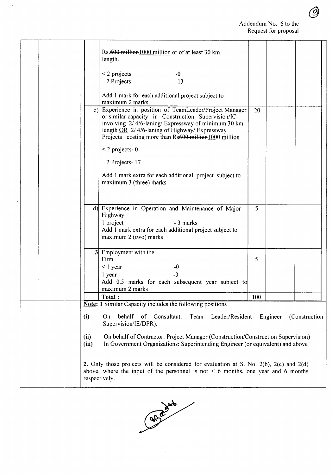|  |                | Rs.600 million1000 million or of at least 30 km<br>length.                                                                                                                                                                                                                   |     |          |                |  |
|--|----------------|------------------------------------------------------------------------------------------------------------------------------------------------------------------------------------------------------------------------------------------------------------------------------|-----|----------|----------------|--|
|  |                | $\leq$ 2 projects<br>$-0$<br>2 Projects<br>$-13$                                                                                                                                                                                                                             |     |          |                |  |
|  |                | Add 1 mark for each additional project subject to<br>maximum 2 marks.                                                                                                                                                                                                        |     |          |                |  |
|  | $c$ )          | Experience in position of TeamLeader/Project Manager<br>or similar capacity in Construction Supervision/IC<br>involving 2/4/6-laning/Expressway of minimum 30 km<br>length $OR$ 2/4/6-laning of Highway/ Expressway<br>Projects costing more than Rs600 million 1000 million | 20  |          |                |  |
|  |                | $<$ 2 projects-0                                                                                                                                                                                                                                                             |     |          |                |  |
|  |                | 2 Projects-17                                                                                                                                                                                                                                                                |     |          |                |  |
|  |                | Add 1 mark extra for each additional project subject to<br>maximum 3 (three) marks                                                                                                                                                                                           |     |          |                |  |
|  |                | d) Experience in Operation and Maintenance of Major<br>Highway.<br>1 project<br>- 3 marks<br>Add 1 mark extra for each additional project subject to<br>maximum 2 (two) marks                                                                                                | 5   |          |                |  |
|  | 3 <sup>1</sup> | Employment with the<br>Firm<br>$\leq$ 1 year<br>$-0$<br>$-3$<br>1 year<br>Add 0.5 marks for each subsequent year subject to<br>maximum 2 marks                                                                                                                               | 5   |          |                |  |
|  |                | Total:                                                                                                                                                                                                                                                                       | 100 |          |                |  |
|  |                | <b>Note: 1 Similar Capacity includes the following positions</b>                                                                                                                                                                                                             |     |          |                |  |
|  | (i)            | On<br>behalf<br>Consultant:<br>Leader/Resident<br><sub>of</sub><br>Team<br>Supervision/IE/DPR).                                                                                                                                                                              |     | Engineer | (Construction) |  |
|  | (ii)<br>(iii)  | On behalf of Contractor: Project Manager (Construction/Construction Supervision)<br>In Government Organizations: Superintending Engineer (or equivalent) and above                                                                                                           |     |          |                |  |
|  | respectively.  | 2. Only those projects will be considered for evaluation at S. No. $2(b)$ , $2(c)$ and $2(d)$<br>above, where the input of the personnel is not $\leq 6$ months, one year and 6 months                                                                                       |     |          |                |  |

 $\overline{\phantom{a}}$ 



4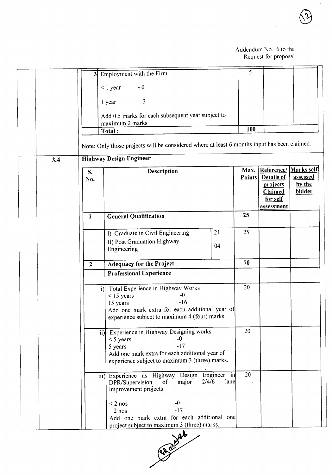$\ddot{\phantom{0}}$ 

|     | 3 <sup>l</sup> | Employment with the Firm                                                                         |                              | 5                     |                          |                        |
|-----|----------------|--------------------------------------------------------------------------------------------------|------------------------------|-----------------------|--------------------------|------------------------|
|     |                | $-0$<br>$< 1$ year                                                                               |                              |                       |                          |                        |
|     |                | $-3$<br>1 year                                                                                   |                              |                       |                          |                        |
|     |                | Add 0.5 marks for each subsequent year subject to                                                |                              |                       |                          |                        |
|     |                | maximum 2 marks                                                                                  |                              | 100                   |                          |                        |
|     |                | Total:                                                                                           |                              |                       |                          |                        |
|     |                | Note: Only those projects will be considered where at least 6 months input has been claimed.     |                              |                       |                          |                        |
| 3.4 |                | <b>Highway Design Engineer</b>                                                                   |                              |                       |                          |                        |
|     | S.             | Description                                                                                      |                              | Max.<br><b>Points</b> | Reference/<br>Details of | Marks self<br>assessed |
|     | No.            |                                                                                                  |                              |                       | projects                 | by the                 |
|     |                |                                                                                                  |                              |                       | Claimed<br>for self      | bidder                 |
|     |                |                                                                                                  |                              |                       | assessment               |                        |
|     | $\mathbf{1}$   | <b>General Qualification</b>                                                                     |                              | 25                    |                          |                        |
|     |                | I) Graduate in Civil Engineering                                                                 | 21                           | 25                    |                          |                        |
|     |                | II) Post Graduation Highway                                                                      | 04                           |                       |                          |                        |
|     |                | Engineering                                                                                      |                              |                       |                          |                        |
|     | $\overline{2}$ | <b>Adequacy for the Project</b>                                                                  |                              | 70                    |                          |                        |
|     |                | <b>Professional Experience</b>                                                                   |                              |                       |                          |                        |
|     |                | Total Experience in Highway Works<br>i                                                           |                              | 20                    |                          |                        |
|     |                | $-0$<br>$<$ 15 years<br>$-16$<br>15 years                                                        |                              |                       |                          |                        |
|     |                | Add one mark extra for each additional year of                                                   |                              |                       |                          |                        |
|     |                | experience subject to maximum 4 (four) marks.                                                    |                              |                       |                          |                        |
|     |                | ii) Experience in Highway Designing works<br>$-0$                                                |                              | 20                    |                          |                        |
|     |                | $<$ 5 years<br>$-17$<br>5 years                                                                  |                              |                       |                          |                        |
|     |                | Add one mark extra for each additional year of<br>experience subject to maximum 3 (three) marks. |                              |                       |                          |                        |
|     |                |                                                                                                  |                              |                       |                          |                        |
|     |                | iii) Experience as Highway Design<br>major<br>DPR/Supervision<br>of                              | Engineer in<br>2/4/6<br>lane | $\overline{20}$       |                          |                        |
|     |                | improvement projects                                                                             |                              |                       |                          |                        |
|     |                | -0<br>$< 2$ nos                                                                                  |                              |                       |                          |                        |
|     |                | $-17$<br>$2$ nos                                                                                 |                              |                       |                          |                        |
|     |                | Add one mark extra for each additional one<br>project subject to maximum 3 (three) marks.        |                              |                       |                          |                        |

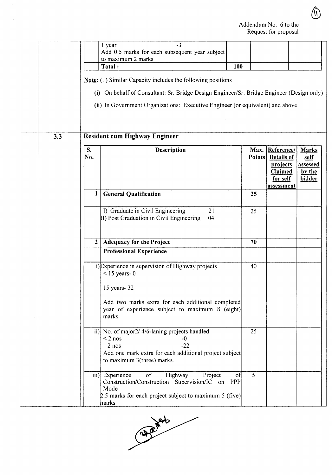$\bigcirc$ 

|                | $-3$<br>l year<br>Add 0.5 marks for each subsequent year subject<br>to maximum 2 marks<br>Total:<br>Note: (1) Similar Capacity includes the following positions<br>(i) On behalf of Consultant: Sr. Bridge Design Engineer/Sr. Bridge Engineer (Design only)<br>(ii) In Government Organizations: Executive Engineer (or equivalent) and above | 100     |        |                                                                                       |                                                      |
|----------------|------------------------------------------------------------------------------------------------------------------------------------------------------------------------------------------------------------------------------------------------------------------------------------------------------------------------------------------------|---------|--------|---------------------------------------------------------------------------------------|------------------------------------------------------|
| 3.3            | <b>Resident cum Highway Engineer</b>                                                                                                                                                                                                                                                                                                           |         |        |                                                                                       |                                                      |
| S.<br>No.      | Description                                                                                                                                                                                                                                                                                                                                    |         | Points | Max. Reference/<br>Details of<br>projects<br>Claimed<br>for self<br><u>assessment</u> | <b>Marks</b><br>self<br>assessed<br>by the<br>bidder |
| 1              | <b>General Qualification</b>                                                                                                                                                                                                                                                                                                                   | 25      |        |                                                                                       |                                                      |
|                | I) Graduate in Civil Engineering<br>21<br>II) Post Graduation in Civil Engineering<br>04                                                                                                                                                                                                                                                       | 25      |        |                                                                                       |                                                      |
| 2 <sub>1</sub> | <b>Adequacy for the Project</b>                                                                                                                                                                                                                                                                                                                | 70      |        |                                                                                       |                                                      |
|                | <b>Professional Experience</b>                                                                                                                                                                                                                                                                                                                 |         |        |                                                                                       |                                                      |
|                | i) Experience in supervision of Highway projects<br>$<$ 15 years- 0<br>15 years- 32<br>Add two marks extra for each additional completed<br>year of experience subject to maximum 8 (eight)<br>marks.                                                                                                                                          | 40      |        |                                                                                       |                                                      |
|                | ii) No. of major2/ 4/6-laning projects handled<br>$< 2$ nos<br>$-0$<br>$2$ nos<br>$-22$<br>Add one mark extra for each additional project subject<br>to maximum 3(three) marks.                                                                                                                                                                | 25      |        |                                                                                       |                                                      |
|                | $\mathbf{f}$<br>iii) Experience<br>Highway<br>Project<br>Construction/Construction Supervision/IC on PPP<br>Mode<br>2.5 marks for each project subject to maximum 5 (five)<br>marks                                                                                                                                                            | 5<br>of |        |                                                                                       |                                                      |

 $\hat{\mathcal{L}}$ 

 $2.5$  marks for  $\overline{a}$ 

 $\bar{z}$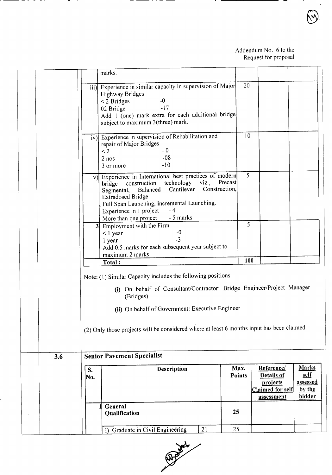|     |           | marks.                                                                                                                                                                                                                                                                                                               |                       |                                                                               |                                                             |
|-----|-----------|----------------------------------------------------------------------------------------------------------------------------------------------------------------------------------------------------------------------------------------------------------------------------------------------------------------------|-----------------------|-------------------------------------------------------------------------------|-------------------------------------------------------------|
|     |           | iii) Experience in similar capacity in supervision of Major<br><b>Highway Bridges</b><br>$-0$<br>$<$ 2 Bridges<br>$-17$<br>02 Bridge<br>Add 1 (one) mark extra for each additional bridge<br>subject to maximum 3(three) mark.                                                                                       | 20                    |                                                                               |                                                             |
|     |           | iv) Experience in supervision of Rehabilitation and<br>repair of Major Bridges<br>- 0<br>$\leq$ 2<br>$-08$<br>$2$ nos<br>$-10$<br>3 or more                                                                                                                                                                          | 10                    |                                                                               |                                                             |
|     |           | v) Experience in International best practices of modern<br>Precast<br>bridge construction technology viz.,<br>Cantilever Construction,<br>Balanced<br>Segmental,<br><b>Extradosed Bridge</b><br>Full Span Launching, Incremental Launching.<br>$-4$<br>Experience in 1 project<br>- 5 marks<br>More than one project | 5                     |                                                                               |                                                             |
|     |           | 3 Employment with the Firm<br>$-0$<br>$<$ 1 year<br>$-3$<br>1 year<br>Add 0.5 marks for each subsequent year subject to<br>maximum 2 marks                                                                                                                                                                           | 5                     |                                                                               |                                                             |
|     |           | Total:                                                                                                                                                                                                                                                                                                               | 100                   |                                                                               |                                                             |
|     |           | Note: (1) Similar Capacity includes the following positions<br>(i) On behalf of Consultant/Contractor: Bridge Engineer/Project Manager<br>(Bridges)<br>(ii) On behalf of Government: Executive Engineer<br>(2) Only those projects will be considered where at least 6 months input has been claimed.                |                       |                                                                               |                                                             |
| 3.6 |           | <b>Senior Pavement Specialist</b>                                                                                                                                                                                                                                                                                    |                       |                                                                               |                                                             |
|     | S.<br>No. | Description                                                                                                                                                                                                                                                                                                          | Max.<br><b>Points</b> | Reference/<br><b>Details of</b><br>projects<br>Claimed for self<br>assessment | <b>Marks</b><br>self<br><u>assessed</u><br>by the<br>bidder |
|     |           | General<br>Qualification                                                                                                                                                                                                                                                                                             | 25                    |                                                                               |                                                             |
|     |           | 21<br>I) Graduate in Civil Engineering                                                                                                                                                                                                                                                                               | 25                    |                                                                               |                                                             |

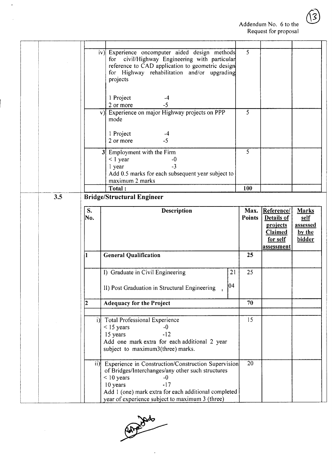$\widehat{3}$ 

| $\overline{5}$<br>iv) Experience oncomputer aided design methods<br>for civil/Highway Engineering with particular<br>reference to CAD application to geometric design<br>for Highway rehabilitation and/or upgrading<br>projects<br>1 Project<br>$-4$<br>$-5$<br>2 or more<br>$\overline{5}$<br>v) Experience on major Highway projects on PPP<br>mode<br>1 Project<br>$-4$<br>$-5$<br>2 or more<br>5<br>Employment with the Firm<br>3 <sup>1</sup><br>$<$ 1 year<br>$-0$<br>$-3$<br>1 year<br>Add 0.5 marks for each subsequent year subject to<br>maximum 2 marks<br>Total:<br>100<br>3.5<br><b>Bridge/Structural Engineer</b><br>S.<br>Description<br>Max.<br>Reference/<br><b>Marks</b><br>No.<br><b>Points</b><br>Details of<br>self<br>projects<br><b>assessed</b><br>Claimed<br>by the<br>for self<br>bidder<br>assessment<br><b>General Qualification</b><br>25<br>$\bf{1}$<br>I) Graduate in Civil Engineering<br>21<br>25<br>104<br>II) Post Graduation in Structural Engineering<br><b>Adequacy for the Project</b><br>70<br>i) Total Professional Experience<br>15 <sup>°</sup><br>$<$ 15 years<br>$-0$<br>15 years<br>$-12$<br>Add one mark extra for each additional 2 year<br>subject to maximum3(three) marks.<br>20<br>ii) Experience in Construction/Construction Supervision<br>of Bridges/Interchanges/any other such structures<br>$<$ 10 years<br>-0<br>$-17$<br>10 years<br>Add 1 (one) mark extra for each additional completed<br>year of experience subject to maximum 3 (three) |  |  |  |  |
|------------------------------------------------------------------------------------------------------------------------------------------------------------------------------------------------------------------------------------------------------------------------------------------------------------------------------------------------------------------------------------------------------------------------------------------------------------------------------------------------------------------------------------------------------------------------------------------------------------------------------------------------------------------------------------------------------------------------------------------------------------------------------------------------------------------------------------------------------------------------------------------------------------------------------------------------------------------------------------------------------------------------------------------------------------------------------------------------------------------------------------------------------------------------------------------------------------------------------------------------------------------------------------------------------------------------------------------------------------------------------------------------------------------------------------------------------------------------------------------------------------|--|--|--|--|
|                                                                                                                                                                                                                                                                                                                                                                                                                                                                                                                                                                                                                                                                                                                                                                                                                                                                                                                                                                                                                                                                                                                                                                                                                                                                                                                                                                                                                                                                                                            |  |  |  |  |
|                                                                                                                                                                                                                                                                                                                                                                                                                                                                                                                                                                                                                                                                                                                                                                                                                                                                                                                                                                                                                                                                                                                                                                                                                                                                                                                                                                                                                                                                                                            |  |  |  |  |
|                                                                                                                                                                                                                                                                                                                                                                                                                                                                                                                                                                                                                                                                                                                                                                                                                                                                                                                                                                                                                                                                                                                                                                                                                                                                                                                                                                                                                                                                                                            |  |  |  |  |
|                                                                                                                                                                                                                                                                                                                                                                                                                                                                                                                                                                                                                                                                                                                                                                                                                                                                                                                                                                                                                                                                                                                                                                                                                                                                                                                                                                                                                                                                                                            |  |  |  |  |
|                                                                                                                                                                                                                                                                                                                                                                                                                                                                                                                                                                                                                                                                                                                                                                                                                                                                                                                                                                                                                                                                                                                                                                                                                                                                                                                                                                                                                                                                                                            |  |  |  |  |
|                                                                                                                                                                                                                                                                                                                                                                                                                                                                                                                                                                                                                                                                                                                                                                                                                                                                                                                                                                                                                                                                                                                                                                                                                                                                                                                                                                                                                                                                                                            |  |  |  |  |
|                                                                                                                                                                                                                                                                                                                                                                                                                                                                                                                                                                                                                                                                                                                                                                                                                                                                                                                                                                                                                                                                                                                                                                                                                                                                                                                                                                                                                                                                                                            |  |  |  |  |
|                                                                                                                                                                                                                                                                                                                                                                                                                                                                                                                                                                                                                                                                                                                                                                                                                                                                                                                                                                                                                                                                                                                                                                                                                                                                                                                                                                                                                                                                                                            |  |  |  |  |
|                                                                                                                                                                                                                                                                                                                                                                                                                                                                                                                                                                                                                                                                                                                                                                                                                                                                                                                                                                                                                                                                                                                                                                                                                                                                                                                                                                                                                                                                                                            |  |  |  |  |
|                                                                                                                                                                                                                                                                                                                                                                                                                                                                                                                                                                                                                                                                                                                                                                                                                                                                                                                                                                                                                                                                                                                                                                                                                                                                                                                                                                                                                                                                                                            |  |  |  |  |
|                                                                                                                                                                                                                                                                                                                                                                                                                                                                                                                                                                                                                                                                                                                                                                                                                                                                                                                                                                                                                                                                                                                                                                                                                                                                                                                                                                                                                                                                                                            |  |  |  |  |
|                                                                                                                                                                                                                                                                                                                                                                                                                                                                                                                                                                                                                                                                                                                                                                                                                                                                                                                                                                                                                                                                                                                                                                                                                                                                                                                                                                                                                                                                                                            |  |  |  |  |
|                                                                                                                                                                                                                                                                                                                                                                                                                                                                                                                                                                                                                                                                                                                                                                                                                                                                                                                                                                                                                                                                                                                                                                                                                                                                                                                                                                                                                                                                                                            |  |  |  |  |
|                                                                                                                                                                                                                                                                                                                                                                                                                                                                                                                                                                                                                                                                                                                                                                                                                                                                                                                                                                                                                                                                                                                                                                                                                                                                                                                                                                                                                                                                                                            |  |  |  |  |
|                                                                                                                                                                                                                                                                                                                                                                                                                                                                                                                                                                                                                                                                                                                                                                                                                                                                                                                                                                                                                                                                                                                                                                                                                                                                                                                                                                                                                                                                                                            |  |  |  |  |
|                                                                                                                                                                                                                                                                                                                                                                                                                                                                                                                                                                                                                                                                                                                                                                                                                                                                                                                                                                                                                                                                                                                                                                                                                                                                                                                                                                                                                                                                                                            |  |  |  |  |
|                                                                                                                                                                                                                                                                                                                                                                                                                                                                                                                                                                                                                                                                                                                                                                                                                                                                                                                                                                                                                                                                                                                                                                                                                                                                                                                                                                                                                                                                                                            |  |  |  |  |
|                                                                                                                                                                                                                                                                                                                                                                                                                                                                                                                                                                                                                                                                                                                                                                                                                                                                                                                                                                                                                                                                                                                                                                                                                                                                                                                                                                                                                                                                                                            |  |  |  |  |
|                                                                                                                                                                                                                                                                                                                                                                                                                                                                                                                                                                                                                                                                                                                                                                                                                                                                                                                                                                                                                                                                                                                                                                                                                                                                                                                                                                                                                                                                                                            |  |  |  |  |
|                                                                                                                                                                                                                                                                                                                                                                                                                                                                                                                                                                                                                                                                                                                                                                                                                                                                                                                                                                                                                                                                                                                                                                                                                                                                                                                                                                                                                                                                                                            |  |  |  |  |
|                                                                                                                                                                                                                                                                                                                                                                                                                                                                                                                                                                                                                                                                                                                                                                                                                                                                                                                                                                                                                                                                                                                                                                                                                                                                                                                                                                                                                                                                                                            |  |  |  |  |
|                                                                                                                                                                                                                                                                                                                                                                                                                                                                                                                                                                                                                                                                                                                                                                                                                                                                                                                                                                                                                                                                                                                                                                                                                                                                                                                                                                                                                                                                                                            |  |  |  |  |
|                                                                                                                                                                                                                                                                                                                                                                                                                                                                                                                                                                                                                                                                                                                                                                                                                                                                                                                                                                                                                                                                                                                                                                                                                                                                                                                                                                                                                                                                                                            |  |  |  |  |
|                                                                                                                                                                                                                                                                                                                                                                                                                                                                                                                                                                                                                                                                                                                                                                                                                                                                                                                                                                                                                                                                                                                                                                                                                                                                                                                                                                                                                                                                                                            |  |  |  |  |
|                                                                                                                                                                                                                                                                                                                                                                                                                                                                                                                                                                                                                                                                                                                                                                                                                                                                                                                                                                                                                                                                                                                                                                                                                                                                                                                                                                                                                                                                                                            |  |  |  |  |
|                                                                                                                                                                                                                                                                                                                                                                                                                                                                                                                                                                                                                                                                                                                                                                                                                                                                                                                                                                                                                                                                                                                                                                                                                                                                                                                                                                                                                                                                                                            |  |  |  |  |
|                                                                                                                                                                                                                                                                                                                                                                                                                                                                                                                                                                                                                                                                                                                                                                                                                                                                                                                                                                                                                                                                                                                                                                                                                                                                                                                                                                                                                                                                                                            |  |  |  |  |
|                                                                                                                                                                                                                                                                                                                                                                                                                                                                                                                                                                                                                                                                                                                                                                                                                                                                                                                                                                                                                                                                                                                                                                                                                                                                                                                                                                                                                                                                                                            |  |  |  |  |
|                                                                                                                                                                                                                                                                                                                                                                                                                                                                                                                                                                                                                                                                                                                                                                                                                                                                                                                                                                                                                                                                                                                                                                                                                                                                                                                                                                                                                                                                                                            |  |  |  |  |
|                                                                                                                                                                                                                                                                                                                                                                                                                                                                                                                                                                                                                                                                                                                                                                                                                                                                                                                                                                                                                                                                                                                                                                                                                                                                                                                                                                                                                                                                                                            |  |  |  |  |
|                                                                                                                                                                                                                                                                                                                                                                                                                                                                                                                                                                                                                                                                                                                                                                                                                                                                                                                                                                                                                                                                                                                                                                                                                                                                                                                                                                                                                                                                                                            |  |  |  |  |
|                                                                                                                                                                                                                                                                                                                                                                                                                                                                                                                                                                                                                                                                                                                                                                                                                                                                                                                                                                                                                                                                                                                                                                                                                                                                                                                                                                                                                                                                                                            |  |  |  |  |
|                                                                                                                                                                                                                                                                                                                                                                                                                                                                                                                                                                                                                                                                                                                                                                                                                                                                                                                                                                                                                                                                                                                                                                                                                                                                                                                                                                                                                                                                                                            |  |  |  |  |
|                                                                                                                                                                                                                                                                                                                                                                                                                                                                                                                                                                                                                                                                                                                                                                                                                                                                                                                                                                                                                                                                                                                                                                                                                                                                                                                                                                                                                                                                                                            |  |  |  |  |
|                                                                                                                                                                                                                                                                                                                                                                                                                                                                                                                                                                                                                                                                                                                                                                                                                                                                                                                                                                                                                                                                                                                                                                                                                                                                                                                                                                                                                                                                                                            |  |  |  |  |
|                                                                                                                                                                                                                                                                                                                                                                                                                                                                                                                                                                                                                                                                                                                                                                                                                                                                                                                                                                                                                                                                                                                                                                                                                                                                                                                                                                                                                                                                                                            |  |  |  |  |
|                                                                                                                                                                                                                                                                                                                                                                                                                                                                                                                                                                                                                                                                                                                                                                                                                                                                                                                                                                                                                                                                                                                                                                                                                                                                                                                                                                                                                                                                                                            |  |  |  |  |
|                                                                                                                                                                                                                                                                                                                                                                                                                                                                                                                                                                                                                                                                                                                                                                                                                                                                                                                                                                                                                                                                                                                                                                                                                                                                                                                                                                                                                                                                                                            |  |  |  |  |
|                                                                                                                                                                                                                                                                                                                                                                                                                                                                                                                                                                                                                                                                                                                                                                                                                                                                                                                                                                                                                                                                                                                                                                                                                                                                                                                                                                                                                                                                                                            |  |  |  |  |
|                                                                                                                                                                                                                                                                                                                                                                                                                                                                                                                                                                                                                                                                                                                                                                                                                                                                                                                                                                                                                                                                                                                                                                                                                                                                                                                                                                                                                                                                                                            |  |  |  |  |
|                                                                                                                                                                                                                                                                                                                                                                                                                                                                                                                                                                                                                                                                                                                                                                                                                                                                                                                                                                                                                                                                                                                                                                                                                                                                                                                                                                                                                                                                                                            |  |  |  |  |
|                                                                                                                                                                                                                                                                                                                                                                                                                                                                                                                                                                                                                                                                                                                                                                                                                                                                                                                                                                                                                                                                                                                                                                                                                                                                                                                                                                                                                                                                                                            |  |  |  |  |
|                                                                                                                                                                                                                                                                                                                                                                                                                                                                                                                                                                                                                                                                                                                                                                                                                                                                                                                                                                                                                                                                                                                                                                                                                                                                                                                                                                                                                                                                                                            |  |  |  |  |
|                                                                                                                                                                                                                                                                                                                                                                                                                                                                                                                                                                                                                                                                                                                                                                                                                                                                                                                                                                                                                                                                                                                                                                                                                                                                                                                                                                                                                                                                                                            |  |  |  |  |
|                                                                                                                                                                                                                                                                                                                                                                                                                                                                                                                                                                                                                                                                                                                                                                                                                                                                                                                                                                                                                                                                                                                                                                                                                                                                                                                                                                                                                                                                                                            |  |  |  |  |
|                                                                                                                                                                                                                                                                                                                                                                                                                                                                                                                                                                                                                                                                                                                                                                                                                                                                                                                                                                                                                                                                                                                                                                                                                                                                                                                                                                                                                                                                                                            |  |  |  |  |
|                                                                                                                                                                                                                                                                                                                                                                                                                                                                                                                                                                                                                                                                                                                                                                                                                                                                                                                                                                                                                                                                                                                                                                                                                                                                                                                                                                                                                                                                                                            |  |  |  |  |

 $\ddot{\phantom{a}}$ 

Robert deb

 $\overline{a}$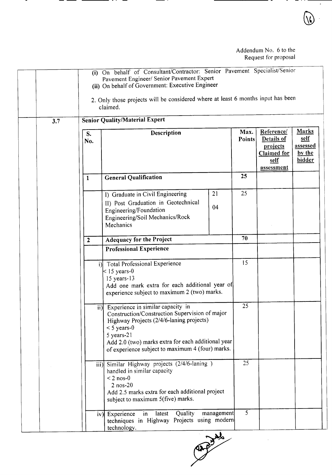|     |                  | (i) On behalf of Consultant/Contractor: Senior Pavement Specialist/Senior<br>Pavement Engineer/ Senior Pavement Expert<br>(ii) On behalf of Government: Executive Engineer                                                                                               |            |                       |                                                                                         |                                                             |
|-----|------------------|--------------------------------------------------------------------------------------------------------------------------------------------------------------------------------------------------------------------------------------------------------------------------|------------|-----------------------|-----------------------------------------------------------------------------------------|-------------------------------------------------------------|
|     |                  | 2. Only those projects will be considered where at least 6 months input has been<br>claimed.                                                                                                                                                                             |            |                       |                                                                                         |                                                             |
| 3.7 |                  | <b>Senior Quality/Material Expert</b>                                                                                                                                                                                                                                    |            |                       |                                                                                         |                                                             |
|     | S.<br>No.        | Description                                                                                                                                                                                                                                                              |            | Max.<br><b>Points</b> | Reference/<br>Details of<br>projects<br><b>Claimed</b> for<br>self<br><u>assessment</u> | <b>Marks</b><br><u>self</u><br>assessed<br>by the<br>bidder |
|     | $\mathbf{1}$     | <b>General Qualification</b>                                                                                                                                                                                                                                             |            | 25                    |                                                                                         |                                                             |
|     |                  | I) Graduate in Civil Engineering<br>II) Post Graduation in Geotechnical                                                                                                                                                                                                  | 21         | 25                    |                                                                                         |                                                             |
|     |                  | Engineering/Foundation<br>Engineering/Soil Mechanics/Rock<br>Mechanics                                                                                                                                                                                                   | 04         |                       |                                                                                         |                                                             |
|     | $\boldsymbol{2}$ | <b>Adequacy for the Project</b>                                                                                                                                                                                                                                          |            | 70                    |                                                                                         |                                                             |
|     |                  | <b>Professional Experience</b>                                                                                                                                                                                                                                           |            |                       |                                                                                         |                                                             |
|     |                  | i) Total Professional Experience<br>$\leq$ 15 years-0<br>15 years-13<br>Add one mark extra for each additional year of<br>experience subject to maximum 2 (two) marks.                                                                                                   |            | 15                    |                                                                                         |                                                             |
|     | ii)              | Experience in similar capacity in<br>Construction/Construction Supervision of major<br>Highway Projects (2/4/6-laning projects)<br>$<$ 5 years-0<br>5 years-21<br>Add 2.0 (two) marks extra for each additional year<br>of experience subject to maximum 4 (four) marks. |            | 25                    |                                                                                         |                                                             |
|     |                  | iii) Similar Highway projects (2/4/6-laning)<br>handled in similar capacity<br>$< 2$ nos-0<br>$2$ nos- $20$<br>Add 2.5 marks extra for each additional project<br>subject to maximum 5(five) marks.                                                                      |            | 25                    |                                                                                         |                                                             |
|     |                  | Quality<br>$\mathsf{in}$<br>latest<br>iv) Experience<br>techniques in Highway Projects using modern<br>technology.                                                                                                                                                       | management | $\overline{5}$        |                                                                                         |                                                             |

techniques in Highway Projects using modern contracts using modern contracts using modern contracts using modern contracts using modern contracts using modern contracts using modern contracts using modern contracts using m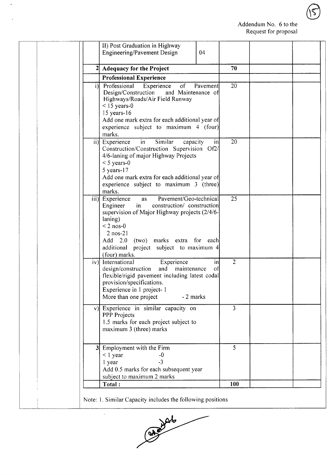$\sqrt{\varsigma}$ 

| $\overline{2}$ | <b>Adequacy for the Project</b>                                                                                                                                                                                                                                                                            | 70             |  |
|----------------|------------------------------------------------------------------------------------------------------------------------------------------------------------------------------------------------------------------------------------------------------------------------------------------------------------|----------------|--|
|                | <b>Professional Experience</b>                                                                                                                                                                                                                                                                             |                |  |
| i)             | Professional<br>Experience<br>of<br>Pavement<br>and Maintenance of<br>Design/Construction<br>Highways/Roads/Air Field Runway<br>$<$ 15 years-0<br>$15$ years-16<br>Add one mark extra for each additional year of<br>experience subject to maximum 4 (four)<br>marks.                                      | $20^{\circ}$   |  |
|                | Similar<br>ii) Experience<br>in<br>in<br>capacity<br>Construction/Construction Supervision Of2/<br>4/6-laning of major Highway Projects<br>$<$ 5 years-0<br>$5$ years-17<br>Add one mark extra for each additional year of<br>experience subject to maximum 3 (three)<br>marks.                            | 20             |  |
|                | Pavement/Geo-technical<br>iii) Experience<br><b>as</b><br>in<br>construction/ construction<br>Engineer<br>supervision of Major Highway projects (2/4/6-<br>laning)<br>$< 2$ nos-0<br>$2$ nos- $21$<br>2.0 (two) marks extra for each<br>Add<br>additional<br>project subject to maximum 4<br>(four) marks. | 25             |  |
|                | $\overline{iv}$ ] International<br>Experience<br>in<br>design/construction<br>maintenance<br>and<br>of<br>flexible/rigid pavement including latest codal<br>provision/specifications.<br>Experience in 1 project-1<br>- 2 marks<br>More than one project                                                   | $\overline{2}$ |  |
|                | v) Experience in similar capacity on<br>PPP Projects<br>1.5 marks for each project subject to<br>maximum 3 (three) marks                                                                                                                                                                                   | $\overline{3}$ |  |
|                | 3 Employment with the Firm<br>$<$ 1 year<br>$-0$<br>$-3$<br>1 year<br>Add 0.5 marks for each subsequent year<br>subject to maximum 2 marks                                                                                                                                                                 | 5              |  |
|                | Total:                                                                                                                                                                                                                                                                                                     | 100            |  |

 $\bullet$ 



 $\hat{\mathcal{A}}$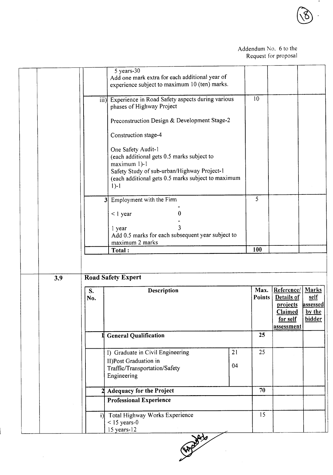|     |     | $5$ years- $30$<br>Add one mark extra for each additional year of |    |                |                         |          |
|-----|-----|-------------------------------------------------------------------|----|----------------|-------------------------|----------|
|     |     | experience subject to maximum 10 (ten) marks.                     |    |                |                         |          |
|     |     |                                                                   |    |                |                         |          |
|     |     | iii) Experience in Road Safety aspects during various             |    | 10             |                         |          |
|     |     | phases of Highway Project                                         |    |                |                         |          |
|     |     | Preconstruction Design & Development Stage-2                      |    |                |                         |          |
|     |     | Construction stage-4                                              |    |                |                         |          |
|     |     | One Safety Audit-1                                                |    |                |                         |          |
|     |     | (each additional gets 0.5 marks subject to                        |    |                |                         |          |
|     |     | maximum 1)-1<br>Safety Study of sub-urban/Highway Project-1       |    |                |                         |          |
|     |     | (each additional gets 0.5 marks subject to maximum                |    |                |                         |          |
|     |     | $1)-1$                                                            |    |                |                         |          |
|     |     | 3 Employment with the Firm                                        |    | $\mathfrak{S}$ |                         |          |
|     |     |                                                                   |    |                |                         |          |
|     |     | 0<br>$<$ 1 year                                                   |    |                |                         |          |
|     |     | 1 year                                                            |    |                |                         |          |
|     |     | Add 0.5 marks for each subsequent year subject to                 |    |                |                         |          |
|     |     | maximum 2 marks                                                   |    | 100            |                         |          |
|     |     | Total:                                                            |    |                |                         |          |
|     |     |                                                                   |    |                |                         |          |
| 3.9 |     | <b>Road Safety Expert</b>                                         |    |                |                         |          |
|     | S.  | Description                                                       |    | Max.           | <b>Reference/ Marks</b> |          |
|     | No. |                                                                   |    |                |                         |          |
|     |     |                                                                   |    | <b>Points</b>  | Details of              | self     |
|     |     |                                                                   |    |                | projects                | assessed |
|     |     |                                                                   |    |                | <b>Claimed</b>          | by the   |
|     |     |                                                                   |    |                | for self<br>assessment  | bidder   |
|     |     | <b>General Qualification</b>                                      |    | 25             |                         |          |
|     |     |                                                                   |    |                |                         |          |
|     |     | I) Graduate in Civil Engineering                                  | 21 | 25             |                         |          |
|     |     | II)Post Graduation in                                             |    |                |                         |          |
|     |     | Traffic/Transportation/Safety                                     | 04 |                |                         |          |
|     |     | Engineering                                                       |    |                |                         |          |
|     |     | <b>Adequacy for the Project</b>                                   |    | 70             |                         |          |
|     |     | <b>Professional Experience</b>                                    |    |                |                         |          |
|     |     | i) Total Highway Works Experience                                 |    | 15             |                         |          |
|     |     | $<$ 15 years-0<br>15 years-12                                     |    |                |                         |          |

**9.2020 10:00 10:00 10:00 10:00 10:00 10:00 10:00 10:00 10:00 10:00 10:00 10:00 10:00 10:00 10:00 10:00 10:00 10:00 10:00 10:00 10:00 10:00 10:00 10:00 10:00 10:00 10:00 10:00 10:00 10:00 10:00 10:00 10:00 10:00 10:00 10:0** 

 $\hat{\mathcal{L}}$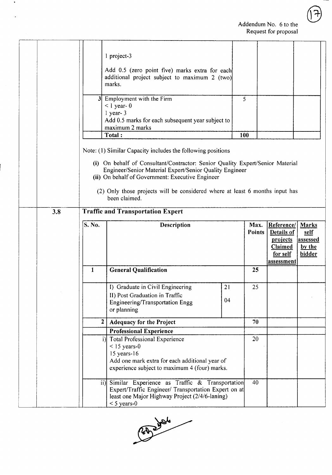$\overline{\mathcal{A}}$ 

|     |                                | 1 project-3                                                                                                                                                                                                                                                                                                                                                  |     |                       |                                                                                         |                                                      |
|-----|--------------------------------|--------------------------------------------------------------------------------------------------------------------------------------------------------------------------------------------------------------------------------------------------------------------------------------------------------------------------------------------------------------|-----|-----------------------|-----------------------------------------------------------------------------------------|------------------------------------------------------|
|     |                                | Add 0.5 (zero point five) marks extra for each<br>additional project subject to maximum 2 (two)<br>marks.                                                                                                                                                                                                                                                    |     |                       |                                                                                         |                                                      |
|     |                                | 3 Employment with the Firm<br>$<$ 1 year- 0<br>1 year-3                                                                                                                                                                                                                                                                                                      | 5   |                       |                                                                                         |                                                      |
|     |                                | Add 0.5 marks for each subsequent year subject to<br>maximum 2 marks                                                                                                                                                                                                                                                                                         |     |                       |                                                                                         |                                                      |
|     |                                | Total:                                                                                                                                                                                                                                                                                                                                                       | 100 |                       |                                                                                         |                                                      |
|     |                                | Note: (1) Similar Capacity includes the following positions<br>(i) On behalf of Consultant/Contractor: Senior Quality Expert/Senior Material<br>Engineer/Senior Material Expert/Senior Quality Engineer<br>(ii) On behalf of Government: Executive Engineer<br>(2) Only those projects will be considered where at least 6 months input has<br>been claimed. |     |                       |                                                                                         |                                                      |
| 3.8 |                                | <b>Traffic and Transportation Expert</b>                                                                                                                                                                                                                                                                                                                     |     |                       |                                                                                         |                                                      |
|     | S. No.                         | Description                                                                                                                                                                                                                                                                                                                                                  |     | Max.<br><b>Points</b> | Reference/<br>Details of<br>projects<br><b>Claimed</b><br>for self<br><u>assessment</u> | <b>Marks</b><br>self<br>assessed<br>by the<br>bidder |
|     | 1                              | <b>General Qualification</b>                                                                                                                                                                                                                                                                                                                                 |     | 25                    |                                                                                         |                                                      |
|     |                                | I) Graduate in Civil Engineering<br>21                                                                                                                                                                                                                                                                                                                       |     | 25                    |                                                                                         |                                                      |
|     |                                | II) Post Graduation in Traffic<br>Engineering/Transportation Engg<br>or planning                                                                                                                                                                                                                                                                             | 04  |                       |                                                                                         |                                                      |
|     | $\mathbf{2}$                   | <b>Adequacy for the Project</b>                                                                                                                                                                                                                                                                                                                              |     | 70                    |                                                                                         |                                                      |
|     | <b>Professional Experience</b> |                                                                                                                                                                                                                                                                                                                                                              |     |                       |                                                                                         |                                                      |
|     |                                | i) Total Professional Experience<br>$<$ 15 years-0<br>$15$ years-16<br>Add one mark extra for each additional year of                                                                                                                                                                                                                                        |     | 20                    |                                                                                         |                                                      |
|     |                                | experience subject to maximum 4 (four) marks.<br>Similar Experience as Traffic & Transportation                                                                                                                                                                                                                                                              |     |                       |                                                                                         |                                                      |

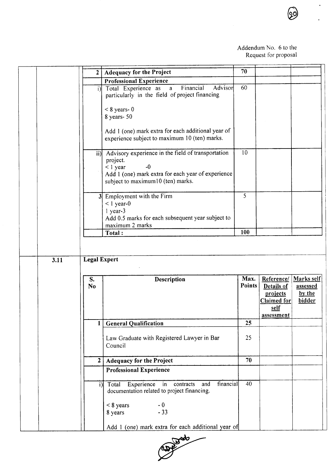$\ddot{\phantom{0}}$ 

ଭୂ

|      | $\overline{2}$       | <b>Adequacy for the Project</b>                                                                                                                                                     | 70             |                                                                                  |                                            |
|------|----------------------|-------------------------------------------------------------------------------------------------------------------------------------------------------------------------------------|----------------|----------------------------------------------------------------------------------|--------------------------------------------|
|      |                      | <b>Professional Experience</b>                                                                                                                                                      |                |                                                                                  |                                            |
|      | i)l                  | Financial<br>Advisor<br>Total Experience as<br>$\mathbf{a}$<br>particularly in the field of project financing                                                                       | 60             |                                                                                  |                                            |
|      |                      | $< 8$ years- 0                                                                                                                                                                      |                |                                                                                  |                                            |
|      |                      | 8 years- 50                                                                                                                                                                         |                |                                                                                  |                                            |
|      |                      | Add 1 (one) mark extra for each additional year of<br>experience subject to maximum 10 (ten) marks.                                                                                 |                |                                                                                  |                                            |
|      |                      | ii) Advisory experience in the field of transportation<br>project.<br>$-0$<br>$<$ 1 year<br>Add 1 (one) mark extra for each year of experience<br>subject to maximum10 (ten) marks. | 10             |                                                                                  |                                            |
|      |                      | 3 Employment with the Firm                                                                                                                                                          | 5              |                                                                                  |                                            |
|      |                      | $<$ 1 year-0<br>1 year-3<br>Add 0.5 marks for each subsequent year subject to                                                                                                       |                |                                                                                  |                                            |
|      |                      | maximum 2 marks<br>Total:                                                                                                                                                           | 100            |                                                                                  |                                            |
| 3.11 | <b>Legal Expert</b>  |                                                                                                                                                                                     |                |                                                                                  |                                            |
|      | S.<br>N <sub>0</sub> | Description                                                                                                                                                                         | Max.<br>Points | Reference/<br>Details of<br>projects<br><b>Claimed for</b><br>self<br>assessment | Marks self<br>assessed<br>by the<br>bidder |
|      |                      | <b>General Qualification</b>                                                                                                                                                        | 25             |                                                                                  |                                            |
|      |                      | Law Graduate with Registered Lawyer in Bar<br>Council                                                                                                                               | 25             |                                                                                  |                                            |
|      | 2                    | <b>Adequacy for the Project</b>                                                                                                                                                     | 70             |                                                                                  |                                            |
|      |                      | <b>Professional Experience</b>                                                                                                                                                      |                |                                                                                  |                                            |
|      |                      |                                                                                                                                                                                     |                |                                                                                  |                                            |
|      | i)                   | financial<br>Experience in<br>and<br>Total<br>contracts<br>documentation related to project financing.                                                                              | 40             |                                                                                  |                                            |
|      |                      | $<$ 8 years<br>$-0$<br>$-33$<br>8 years                                                                                                                                             |                |                                                                                  |                                            |

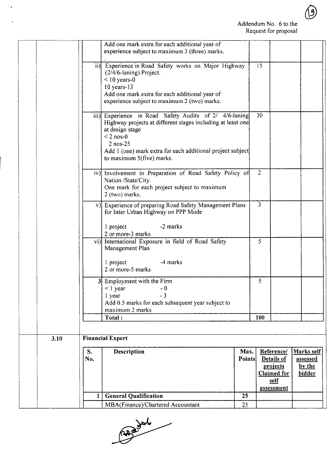|           | Add one mark extra for each additional year of<br>experience subject to maximum 3 (three) marks.                                                                                                                                                                    |                       |                |                                                                                         |                                            |  |
|-----------|---------------------------------------------------------------------------------------------------------------------------------------------------------------------------------------------------------------------------------------------------------------------|-----------------------|----------------|-----------------------------------------------------------------------------------------|--------------------------------------------|--|
|           | ii) Experience in Road Safety works on Major Highway<br>(2/4/6-laning) Project.<br>$<$ 10 years-0<br>$10$ years- $13$<br>Add one mark extra for each additional year of<br>experience subject to maximum 2 (two) marks.                                             |                       | 15             |                                                                                         |                                            |  |
|           | iii) Experience in Road Safety Audits of 2/ 4/6-laning<br>Highway projects at different stages including at least one<br>at design stage<br>$< 2$ nos-0<br>$2$ nos- $25$<br>Add 1 (one) mark extra for each additional project subject<br>to maximum 5(five) marks. |                       | 30             |                                                                                         |                                            |  |
|           | iv) Involvement in Preparation of Road Safety Policy of<br>Nation /State/City.<br>One mark for each project subject to maximum<br>2 (two) marks.                                                                                                                    |                       | $\overline{2}$ |                                                                                         |                                            |  |
|           | v) Experience of preparing Road Safety Management Plans<br>for Inter Urban Highway on PPP Mode<br>-2 marks<br>1 project<br>2 or more-3 marks                                                                                                                        |                       | 3              |                                                                                         |                                            |  |
|           | vi) International Exposure in field of Road Safety<br>Management Plan<br>-4 marks<br>1 project<br>2 or more-5 marks                                                                                                                                                 |                       | $\overline{5}$ |                                                                                         |                                            |  |
|           | 3 Employment with the Firm<br>$<$ 1 year<br>$-0$<br>$-3$<br>1 year<br>Add 0.5 marks for each subsequent year subject to<br>maximum 2 marks                                                                                                                          |                       | 5              |                                                                                         |                                            |  |
|           | Total:                                                                                                                                                                                                                                                              |                       | 100            |                                                                                         |                                            |  |
|           |                                                                                                                                                                                                                                                                     |                       |                |                                                                                         |                                            |  |
| 3.10      | <b>Financial Expert</b>                                                                                                                                                                                                                                             |                       |                |                                                                                         |                                            |  |
| S.<br>No. | Description                                                                                                                                                                                                                                                         | Max.<br><b>Points</b> |                | Reference/<br><b>Details of</b><br>projects<br><b>Claimed</b> for<br>self<br>assessment | Marks self<br>assessed<br>by the<br>bidder |  |
| 1         | <b>General Qualification</b>                                                                                                                                                                                                                                        | 25                    |                |                                                                                         |                                            |  |
|           | MBA(Finance)/Chartered Accountant                                                                                                                                                                                                                                   | 25                    |                |                                                                                         |                                            |  |

 $\ddot{\phantom{1}}$ 

Capa July

 $\bigcirc$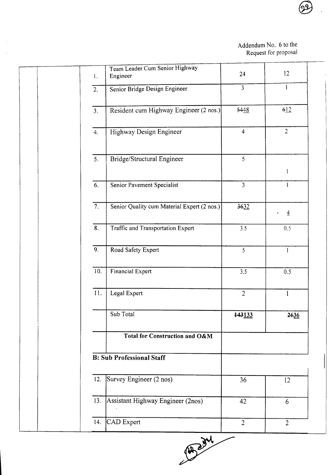$\mathsf{l}\mathsf{l}$ 

|                  | Team Leader Cum Senior Highway              |                  |                |
|------------------|---------------------------------------------|------------------|----------------|
| 1.               | Engineer                                    | 24               | 12             |
| $\overline{2}$ . | Senior Bridge Design Engineer               | $\overline{3}$   |                |
| 3.               | Resident cum Highway Engineer (2 nos.)      | 5448             | 612            |
| 4.               | Highway Design Engineer                     | $\overline{4}$   | $\overline{2}$ |
| 5.               | Bridge/Structural Engineer                  | 5                |                |
| 6.               | Senior Pavement Specialist                  | $\overline{3}$   | 1<br>1         |
|                  |                                             |                  |                |
| $\overline{7}$ . | Senior Quality cum Material Expert (2 nos.) | 3632             | $\overline{4}$ |
| $\overline{8}$ . | <b>Traffic and Transportation Expert</b>    | $\overline{3.5}$ | 0.5            |
| $\overline{9}$ . | Road Safety Expert                          | $\overline{5}$   | $\mathbf{1}$   |
| 10.              | Financial Expert                            | 3.5              | 0.5            |
| 11.              | Legal Expert                                | $\overline{2}$   | $\mathbf{I}$   |
|                  | Sub Total                                   | 143133           | 2636           |
|                  | <b>Total for Construction and O&amp;M</b>   |                  |                |
|                  | <b>B: Sub Professional Staff</b>            |                  |                |
| 12.              | Survey Engineer (2 nos)                     | 36               | 12             |
| 13.              | Assistant Highway Engineer (2nos)           | 42               | 6              |
| 14.              | CAD Expert                                  | $\overline{2}$   | $\overline{2}$ |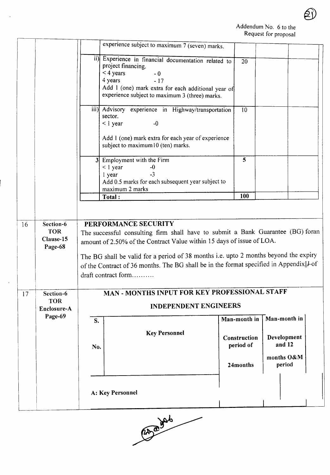61

|                                                 |           | experience subject to maximum 7 (seven) marks. |                                                                                                                                                                                                                                                                                                                    |                                                                                                                                                                                                                                                                                                                                             |                                                                                                                                                                                                                                                                                                                                                                                                                       |
|-------------------------------------------------|-----------|------------------------------------------------|--------------------------------------------------------------------------------------------------------------------------------------------------------------------------------------------------------------------------------------------------------------------------------------------------------------------|---------------------------------------------------------------------------------------------------------------------------------------------------------------------------------------------------------------------------------------------------------------------------------------------------------------------------------------------|-----------------------------------------------------------------------------------------------------------------------------------------------------------------------------------------------------------------------------------------------------------------------------------------------------------------------------------------------------------------------------------------------------------------------|
|                                                 |           | $-0$<br>$-17$                                  | 20                                                                                                                                                                                                                                                                                                                 |                                                                                                                                                                                                                                                                                                                                             |                                                                                                                                                                                                                                                                                                                                                                                                                       |
|                                                 |           | $-0$                                           | $\overline{10}$                                                                                                                                                                                                                                                                                                    |                                                                                                                                                                                                                                                                                                                                             |                                                                                                                                                                                                                                                                                                                                                                                                                       |
|                                                 |           | $-0$<br>$-3$                                   | 5 <sup>5</sup>                                                                                                                                                                                                                                                                                                     |                                                                                                                                                                                                                                                                                                                                             |                                                                                                                                                                                                                                                                                                                                                                                                                       |
|                                                 |           |                                                | 100                                                                                                                                                                                                                                                                                                                |                                                                                                                                                                                                                                                                                                                                             |                                                                                                                                                                                                                                                                                                                                                                                                                       |
| Section-6<br><b>TOR</b><br>Clause-15<br>Page-68 |           |                                                |                                                                                                                                                                                                                                                                                                                    |                                                                                                                                                                                                                                                                                                                                             |                                                                                                                                                                                                                                                                                                                                                                                                                       |
| Section-6<br><b>TOR</b><br>Enclosure-A          |           |                                                |                                                                                                                                                                                                                                                                                                                    |                                                                                                                                                                                                                                                                                                                                             |                                                                                                                                                                                                                                                                                                                                                                                                                       |
| Page-69                                         | S.<br>No. | <b>Key Personnel</b>                           | period of                                                                                                                                                                                                                                                                                                          | Man-month in<br>Development<br>and 12                                                                                                                                                                                                                                                                                                       |                                                                                                                                                                                                                                                                                                                                                                                                                       |
|                                                 |           |                                                | 24months                                                                                                                                                                                                                                                                                                           | period                                                                                                                                                                                                                                                                                                                                      |                                                                                                                                                                                                                                                                                                                                                                                                                       |
|                                                 |           |                                                |                                                                                                                                                                                                                                                                                                                    |                                                                                                                                                                                                                                                                                                                                             |                                                                                                                                                                                                                                                                                                                                                                                                                       |
|                                                 |           |                                                | project financing.<br>$<$ 4 years<br>4 years<br>experience subject to maximum 3 (three) marks.<br>sector.<br>$<$ l year<br>subject to maximum10 (ten) marks.<br>3 Employment with the Firm<br>$<$ 1 year<br>l year<br>maximum 2 marks<br>Total:<br>PERFORMANCE SECURITY<br>draft contract form<br>A: Key Personnel | ii) Experience in financial documentation related to<br>Add 1 (one) mark extra for each additional year of<br>iii) Advisory experience in Highway/transportation<br>Add 1 (one) mark extra for each year of experience<br>Add 0.5 marks for each subsequent year subject to<br><b>INDEPENDENT ENGINEERS</b><br>Man-month in<br>Construction | The successful consulting firm shall have to submit a Bank Guarantee (BG) foran<br>amount of 2.50% of the Contract Value within 15 days of issue of LOA.<br>The BG shall be valid for a period of 38 months i.e. upto 2 months beyond the expiry<br>of the Contract of 36 months. The BG shall be in the format specified in Appendix <sup>1</sup> -of<br>MAN - MONTHS INPUT FOR KEY PROFESSIONAL STAFF<br>months O&M |

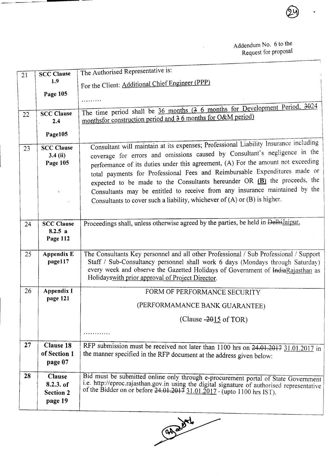| $\overline{21}$ | <b>SCC Clause</b> | The Authorised Representative is:                                                                                                    |
|-----------------|-------------------|--------------------------------------------------------------------------------------------------------------------------------------|
|                 | 1.9               | For the Client: Additional Chief Engineer (PPP)                                                                                      |
|                 | Page 105          |                                                                                                                                      |
|                 |                   | .                                                                                                                                    |
| 22              | <b>SCC Clause</b> | The time period shall be $36$ months $(3 6$ months for Development Period, $3024$                                                    |
|                 | 2.4               | monthsfor construction period and 3 6 months for O&M period)                                                                         |
|                 | Page105           |                                                                                                                                      |
| 23              | <b>SCC Clause</b> | Consultant will maintain at its expenses; Professional Liability Insurance including                                                 |
|                 | $3.4$ (ii)        | coverage for errors and omissions caused by Consultant's negligence in the                                                           |
|                 | Page 105          | performance of its duties under this agreement, (A) For the amount not exceeding                                                     |
|                 |                   | total payments for Professional Fees and Reimbursable Expenditures made or                                                           |
|                 |                   | expected to be made to the Consultants hereunder OR $(B)$ the proceeds, the                                                          |
|                 | $\mathcal{X}$     | Consultants may be entitled to receive from any insurance maintained by the                                                          |
|                 |                   | Consultants to cover such a liability, whichever of (A) or (B) is higher.                                                            |
|                 |                   |                                                                                                                                      |
| 24              | <b>SCC Clause</b> | Proceedings shall, unless otherwise agreed by the parties, be held in Delhilaipur.                                                   |
|                 | 8.2.5 a           |                                                                                                                                      |
|                 | Page 112          |                                                                                                                                      |
| 25              | <b>Appendix E</b> | The Consultants Key personnel and all other Professional / Sub Professional / Support                                                |
|                 | page117           | Staff / Sub-Consultancy personnel shall work 6 days (Mondays through Saturday)                                                       |
|                 |                   | every week and observe the Gazetted Holidays of Government of IndiaRajasthan as<br>Holidays with prior approval of Project Director. |
|                 |                   |                                                                                                                                      |
| 26              | Appendix I        | FORM OF PERFORMANCE SECURITY                                                                                                         |
|                 | page 121          | (PERFORMAMANCE BANK GUARANTEE)                                                                                                       |
|                 |                   | (Clause $-2015$ of TOR)                                                                                                              |
|                 |                   | .                                                                                                                                    |
| 27              | <b>Clause 18</b>  | RFP submission must be received not later than 1100 hrs on 24.01.2017 31.01.2017 in                                                  |
|                 | of Section 1      | the manner specified in the RFP document at the address given below:                                                                 |
|                 | page 07           |                                                                                                                                      |
| 28              | <b>Clause</b>     | Bid must be submitted online only through e-procurement portal of State Government                                                   |
|                 | 8.2.3. of         | i.e. http://eproc.rajasthan.gov.in using the digital signature of authorised representative                                          |
|                 | <b>Section 2</b>  | of the Bidder on or before $24.01.201731.01.2017$ - (upto 1100 hrs IST).                                                             |
|                 | page 19           |                                                                                                                                      |

CADE of My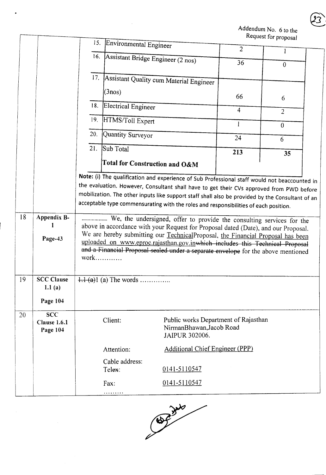|    |                                               | 15. |                                                         |                                                                                                                                                                                                                                                                                                                                                                                                                                                                                                                                                                                                                 |                | aust for proposal |
|----|-----------------------------------------------|-----|---------------------------------------------------------|-----------------------------------------------------------------------------------------------------------------------------------------------------------------------------------------------------------------------------------------------------------------------------------------------------------------------------------------------------------------------------------------------------------------------------------------------------------------------------------------------------------------------------------------------------------------------------------------------------------------|----------------|-------------------|
|    |                                               |     | Environmental Engineer                                  |                                                                                                                                                                                                                                                                                                                                                                                                                                                                                                                                                                                                                 | $\overline{2}$ |                   |
|    |                                               |     | 16. Assistant Bridge Engineer (2 nos)                   |                                                                                                                                                                                                                                                                                                                                                                                                                                                                                                                                                                                                                 | 36             | $\mathbf{0}$      |
|    |                                               | 17. |                                                         | Assistant Quality cum Material Engineer                                                                                                                                                                                                                                                                                                                                                                                                                                                                                                                                                                         |                |                   |
|    |                                               |     | (3nos)                                                  |                                                                                                                                                                                                                                                                                                                                                                                                                                                                                                                                                                                                                 | 66             | 6                 |
|    |                                               | 18. | Electrical Engineer                                     |                                                                                                                                                                                                                                                                                                                                                                                                                                                                                                                                                                                                                 | $\overline{4}$ | $\overline{2}$    |
|    |                                               | 19. | HTMS/Toll Expert                                        |                                                                                                                                                                                                                                                                                                                                                                                                                                                                                                                                                                                                                 | $\mathbf{1}$   | $\overline{0}$    |
|    |                                               | 20. | Quantity Surveyor                                       |                                                                                                                                                                                                                                                                                                                                                                                                                                                                                                                                                                                                                 | 24             | 6                 |
|    |                                               | 21. | Sub Total                                               |                                                                                                                                                                                                                                                                                                                                                                                                                                                                                                                                                                                                                 | 213            | 35                |
|    |                                               |     |                                                         | Total for Construction and O&M                                                                                                                                                                                                                                                                                                                                                                                                                                                                                                                                                                                  |                |                   |
| 18 | Appendix B-<br>Page-43                        |     | $work$                                                  | mobilization. The other inputs like support staff shall also be provided by the Consultant of an<br>acceptable type commensurating with the roles and responsibilities of each position.<br>We, the undersigned, offer to provide the consulting services for the<br>above in accordance with your Request for Proposal dated (Date), and our Proposal.<br>We are hereby submitting our TechnicalProposal, the Financial Proposal has been<br>uploaded on www.eproc.rajasthan.gov.inwhich includes this Technical Proposal<br>and a Financial Proposal sealed under a separate envelope for the above mentioned |                |                   |
| 19 | <b>SCC Clause</b><br>1.1(a)<br>Page 104       |     | $\frac{1}{1}$ $\frac{1}{2}$ $\frac{1}{2}$ (a) The words |                                                                                                                                                                                                                                                                                                                                                                                                                                                                                                                                                                                                                 |                |                   |
| 20 | <b>SCC</b><br><b>Clause 1.6.1</b><br>Page 104 |     | Client:                                                 | Public works Department of Rajasthan<br>NirmanBhawan, Jacob Road<br>JAIPUR 302006.                                                                                                                                                                                                                                                                                                                                                                                                                                                                                                                              |                |                   |
|    |                                               |     | Attention:                                              | <b>Additional Chief Engineer (PPP)</b>                                                                                                                                                                                                                                                                                                                                                                                                                                                                                                                                                                          |                |                   |
|    |                                               |     | Cable address:<br>Telex:                                | 0141-5110547                                                                                                                                                                                                                                                                                                                                                                                                                                                                                                                                                                                                    |                |                   |
|    |                                               |     | Fax:<br>.                                               | 0141-5110547                                                                                                                                                                                                                                                                                                                                                                                                                                                                                                                                                                                                    |                |                   |

 $\sim$ 

 $\blacksquare$ 

Î

 $\overline{ }$ 



 $\widehat{23}$